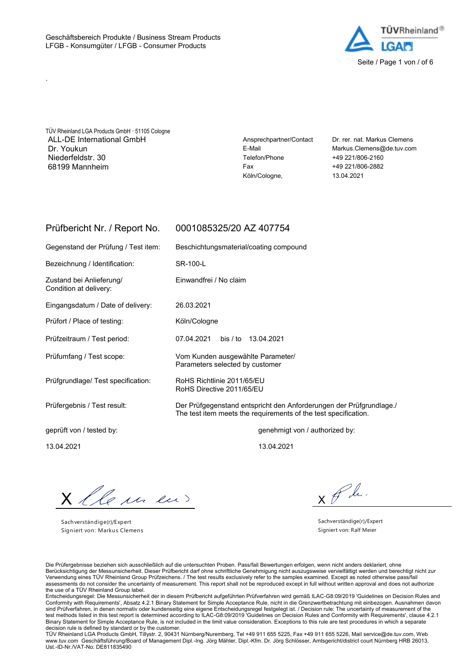

TÜV Rheinland LGA Products GmbH · 51105 Cologne ALL-DE International GmbH **Ansprechpartner/Contact** Dr. rer. nat. Markus Clemens Dr. Youkun E-Mail Markus.Clemens@de.tuv.com Niederfeldstr. 30 Telefon/Phone +49 221/806-2160 68199 Mannheim Fax +49 221/806-2882

.

Köln/Cologne, 13.04.2021

## Prüfbericht Nr. / Report No. 0001085325/20 AZ 407754

Gegenstand der Prüfung / Test item: Beschichtungsmaterial/coating compound

Condition at delivery:

Bezeichnung / Identification: SR-100-L

Zustand bei Anlieferung/ Einwandfrei / No claim

Eingangsdatum / Date of delivery: 26.03.2021

Prüfort / Place of testing: Köln/Cologne

Prüfzeitraum / Test period: 07.04.2021 bis / to 13.04.2021

Prüfumfang / Test scope: Vom Kunden ausgewählte Parameter/ Parameters selected by customer

Prüfgrundlage/ Test specification: RoHS Richtlinie 2011/65/EU RoHS Directive 2011/65/EU

Prüfergebnis / Test result: Der Prüfgegenstand entspricht den Anforderungen der Prüfgrundlage./ The test item meets the requirements of the test specification.

geprüft von / tested by: genehmigt von / authorized by:

13.04.2021 13.04.2021

X lle un en

Sachverständige(r)/Expert Signiert von: Markus Clemens

 $x \not\in \mathcal{L}$ 

Sachverständige(r)/Expert Signiert von: Ralf Meier

Die Prüfergebnisse beziehen sich ausschließlich auf die untersuchten Proben. Pass/fail Bewertungen erfolgen, wenn nicht anders deklariert, ohne Berücksichtigung der Messunsicherheit. Dieser Prüfbericht darf ohne schriftliche Genehmigung nicht auszugsweise vervielfältigt werden und berechtigt nicht zur Verwendung eines TÜV Rheinland Group Prüfzeichens. / The test results exclusively refer to the samples examined. Except as noted otherwise pass/fail assessments do not consider the uncertainty of measurement. This report shall not be reproduced except in full without written approval and does not authorize the use of a TÜV Rheinland Group label.

Entscheidungsregel: Die Messunsicherheit der in diesem Prüfbericht aufgeführten Prüfverfahren wird gemäß ILAC-G8:09/2019 'Guidelines on Decision Rules and Conformity with Requirements', Absatz 4.2.1 Binary Statement for Simple Acceptance Rule, nicht in die Grenzwertbetrachtung mit einbezogen. Ausnahmen davon sind Prüfverfahren, in denen normativ oder kundenseitig eine eigene Entscheidungsregel festgelegt ist. / Decision rule: The uncertainty of measurement of the test methods listed in this test report is determined according to ILAC-G8:09/2019 'Guidelines on Decision Rules and Conformity with Requirements', clause 4.2.1 Binary Statement for Simple Acceptance Rule, is not included in the limit value consideration. Exceptions to this rule are test procedures in which a separate decision rule is defined by standard or by the customer.

TÜV Rheinland LGA Products GmbH, Tillystr. 2, 90431 Nürnberg/Nuremberg, Tel +49 911 655 5225, Fax +49 911 655 5226, Mail service@de.tuv.com, Web www.tuv.com Geschäftsführung/Board of Management Dipl.-Ing. Jörg Mähler, Dipl.-Kfm. Dr. Jörg Schlösser, Amtsgericht/district court Nürnberg HRB 26013, Ust.-ID-Nr./VAT-No: DE811835490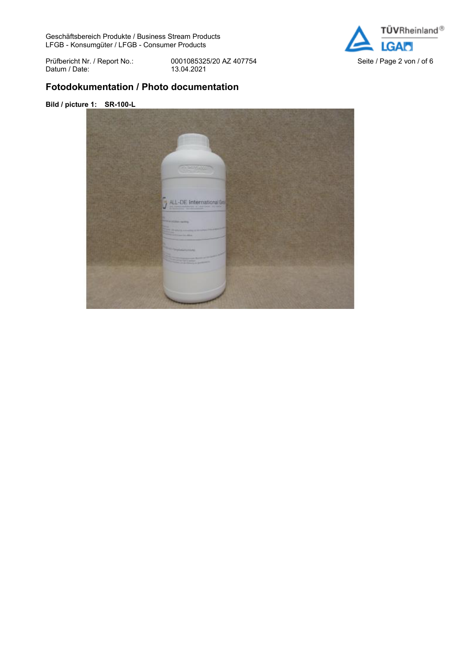Geschäftsbereich Produkte / Business Stream Products LFGB - Konsumgüter / LFGB - Consumer Products



Datum / Date:

Prüfbericht Nr. / Report No.: 0001085325/20 AZ 407754<br>Datum / Date: 13.04.2021<br>

# **Fotodokumentation / Photo documentation**

### **Bild / picture 1: SR-100-L**

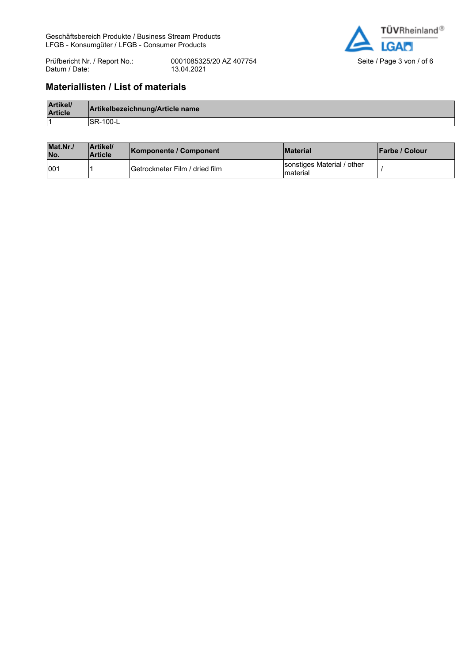Geschäftsbereich Produkte / Business Stream Products LFGB - Konsumgüter / LFGB - Consumer Products



Prüfbericht Nr. / Report No.: 0001085325/20 AZ 407754<br>Datum / Date: 13.04.2021<br> Datum / Date:

# **Materiallisten / List of materials**

| Artikel/<br><b>Article</b> | Artikelbezeichnung/Article name |
|----------------------------|---------------------------------|
|                            | $-100 -$                        |

| Mat.Nr.<br>No. | Artikel/<br><b>Article</b> | <b>Komponente / Component</b>   | <b>Material</b>                         | <b>IFarbe / Colour</b> |
|----------------|----------------------------|---------------------------------|-----------------------------------------|------------------------|
| 001            |                            | IGetrockneter Film / dried film | sonstiges Material / other<br>Imaterial |                        |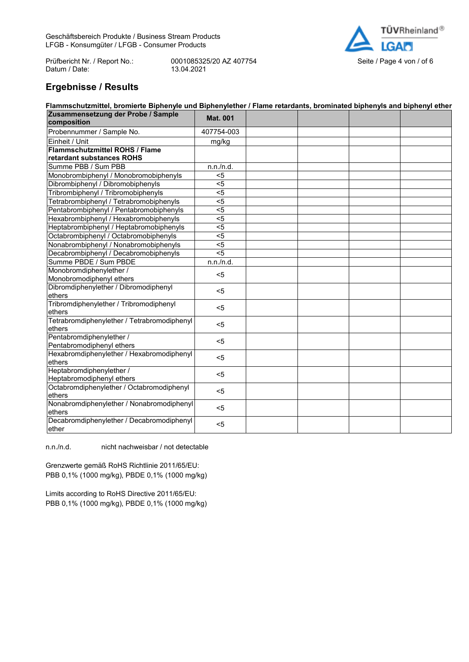Prüfbericht Nr. / Report No.: 0001085325/20 AZ 407754<br>Datum / Date: 13.04.2021<br> Datum / Date:



# **Ergebnisse / Results**

| <b>Mat. 001</b><br>composition<br>Probennummer / Sample No.<br>407754-003<br>Einheit / Unit<br>mg/kg<br><b>Flammschutzmittel ROHS / Flame</b><br>retardant substances ROHS<br>Summe PBB / Sum PBB<br>n.n./n.d.<br>Monobrombiphenyl / Monobromobiphenyls<br>$5$<br>Dibrombiphenyl / Dibromobiphenyls<br>$5$<br>Tribrombiphenyl / Tribromobiphenyls<br>$5$<br>Tetrabrombiphenyl / Tetrabromobiphenyls<br>$5$<br>Pentabrombiphenyl / Pentabromobiphenyls<br>$5$<br>Hexabrombiphenyl / Hexabromobiphenyls<br>$5$<br>Heptabrombiphenyl / Heptabromobiphenyls<br>$5$<br>Octabrombiphenyl / Octabromobiphenyls<br>$5$<br>Nonabrombiphenyl / Nonabromobiphenyls<br>$5$<br>$5$<br>Decabrombiphenyl / Decabromobiphenyls<br>Summe PBDE / Sum PBDE<br>n.n./n.d.<br>Monobromdiphenylether /<br>$5$<br>Monobromodiphenyl ethers<br>Dibromdiphenylether / Dibromodiphenyl<br>$5$<br>ethers<br>Tribromdiphenylether / Tribromodiphenyl<br>$5$<br>ethers<br>Tetrabromdiphenylether / Tetrabromodiphenyl<br>$5$<br>ethers<br>Pentabromdiphenylether /<br>$5$<br>Pentabromodiphenyl ethers<br>Hexabromdiphenylether / Hexabromodiphenyl<br>$5$<br>ethers<br>Heptabromdiphenylether /<br>$5$<br>Heptabromodiphenyl ethers<br>Octabromdiphenylether / Octabromodiphenyl<br>$5$<br>ethers<br>Nonabromdiphenylether / Nonabromodiphenyl<br>$5$<br>ethers | Flammschutzmittel, bromierte Biphenyle und Biphenylether / Flame retardants, brominated biphenyls and biphenyl ether |  |  |  |  |  |  |
|------------------------------------------------------------------------------------------------------------------------------------------------------------------------------------------------------------------------------------------------------------------------------------------------------------------------------------------------------------------------------------------------------------------------------------------------------------------------------------------------------------------------------------------------------------------------------------------------------------------------------------------------------------------------------------------------------------------------------------------------------------------------------------------------------------------------------------------------------------------------------------------------------------------------------------------------------------------------------------------------------------------------------------------------------------------------------------------------------------------------------------------------------------------------------------------------------------------------------------------------------------------------------------------------------------------------------------|----------------------------------------------------------------------------------------------------------------------|--|--|--|--|--|--|
|                                                                                                                                                                                                                                                                                                                                                                                                                                                                                                                                                                                                                                                                                                                                                                                                                                                                                                                                                                                                                                                                                                                                                                                                                                                                                                                                    | Zusammensetzung der Probe / Sample                                                                                   |  |  |  |  |  |  |
|                                                                                                                                                                                                                                                                                                                                                                                                                                                                                                                                                                                                                                                                                                                                                                                                                                                                                                                                                                                                                                                                                                                                                                                                                                                                                                                                    |                                                                                                                      |  |  |  |  |  |  |
|                                                                                                                                                                                                                                                                                                                                                                                                                                                                                                                                                                                                                                                                                                                                                                                                                                                                                                                                                                                                                                                                                                                                                                                                                                                                                                                                    |                                                                                                                      |  |  |  |  |  |  |
|                                                                                                                                                                                                                                                                                                                                                                                                                                                                                                                                                                                                                                                                                                                                                                                                                                                                                                                                                                                                                                                                                                                                                                                                                                                                                                                                    |                                                                                                                      |  |  |  |  |  |  |
|                                                                                                                                                                                                                                                                                                                                                                                                                                                                                                                                                                                                                                                                                                                                                                                                                                                                                                                                                                                                                                                                                                                                                                                                                                                                                                                                    |                                                                                                                      |  |  |  |  |  |  |
|                                                                                                                                                                                                                                                                                                                                                                                                                                                                                                                                                                                                                                                                                                                                                                                                                                                                                                                                                                                                                                                                                                                                                                                                                                                                                                                                    |                                                                                                                      |  |  |  |  |  |  |
|                                                                                                                                                                                                                                                                                                                                                                                                                                                                                                                                                                                                                                                                                                                                                                                                                                                                                                                                                                                                                                                                                                                                                                                                                                                                                                                                    |                                                                                                                      |  |  |  |  |  |  |
|                                                                                                                                                                                                                                                                                                                                                                                                                                                                                                                                                                                                                                                                                                                                                                                                                                                                                                                                                                                                                                                                                                                                                                                                                                                                                                                                    |                                                                                                                      |  |  |  |  |  |  |
|                                                                                                                                                                                                                                                                                                                                                                                                                                                                                                                                                                                                                                                                                                                                                                                                                                                                                                                                                                                                                                                                                                                                                                                                                                                                                                                                    |                                                                                                                      |  |  |  |  |  |  |
|                                                                                                                                                                                                                                                                                                                                                                                                                                                                                                                                                                                                                                                                                                                                                                                                                                                                                                                                                                                                                                                                                                                                                                                                                                                                                                                                    |                                                                                                                      |  |  |  |  |  |  |
|                                                                                                                                                                                                                                                                                                                                                                                                                                                                                                                                                                                                                                                                                                                                                                                                                                                                                                                                                                                                                                                                                                                                                                                                                                                                                                                                    |                                                                                                                      |  |  |  |  |  |  |
|                                                                                                                                                                                                                                                                                                                                                                                                                                                                                                                                                                                                                                                                                                                                                                                                                                                                                                                                                                                                                                                                                                                                                                                                                                                                                                                                    |                                                                                                                      |  |  |  |  |  |  |
|                                                                                                                                                                                                                                                                                                                                                                                                                                                                                                                                                                                                                                                                                                                                                                                                                                                                                                                                                                                                                                                                                                                                                                                                                                                                                                                                    |                                                                                                                      |  |  |  |  |  |  |
|                                                                                                                                                                                                                                                                                                                                                                                                                                                                                                                                                                                                                                                                                                                                                                                                                                                                                                                                                                                                                                                                                                                                                                                                                                                                                                                                    |                                                                                                                      |  |  |  |  |  |  |
|                                                                                                                                                                                                                                                                                                                                                                                                                                                                                                                                                                                                                                                                                                                                                                                                                                                                                                                                                                                                                                                                                                                                                                                                                                                                                                                                    |                                                                                                                      |  |  |  |  |  |  |
|                                                                                                                                                                                                                                                                                                                                                                                                                                                                                                                                                                                                                                                                                                                                                                                                                                                                                                                                                                                                                                                                                                                                                                                                                                                                                                                                    |                                                                                                                      |  |  |  |  |  |  |
|                                                                                                                                                                                                                                                                                                                                                                                                                                                                                                                                                                                                                                                                                                                                                                                                                                                                                                                                                                                                                                                                                                                                                                                                                                                                                                                                    |                                                                                                                      |  |  |  |  |  |  |
|                                                                                                                                                                                                                                                                                                                                                                                                                                                                                                                                                                                                                                                                                                                                                                                                                                                                                                                                                                                                                                                                                                                                                                                                                                                                                                                                    |                                                                                                                      |  |  |  |  |  |  |
|                                                                                                                                                                                                                                                                                                                                                                                                                                                                                                                                                                                                                                                                                                                                                                                                                                                                                                                                                                                                                                                                                                                                                                                                                                                                                                                                    |                                                                                                                      |  |  |  |  |  |  |
|                                                                                                                                                                                                                                                                                                                                                                                                                                                                                                                                                                                                                                                                                                                                                                                                                                                                                                                                                                                                                                                                                                                                                                                                                                                                                                                                    |                                                                                                                      |  |  |  |  |  |  |
|                                                                                                                                                                                                                                                                                                                                                                                                                                                                                                                                                                                                                                                                                                                                                                                                                                                                                                                                                                                                                                                                                                                                                                                                                                                                                                                                    |                                                                                                                      |  |  |  |  |  |  |
|                                                                                                                                                                                                                                                                                                                                                                                                                                                                                                                                                                                                                                                                                                                                                                                                                                                                                                                                                                                                                                                                                                                                                                                                                                                                                                                                    |                                                                                                                      |  |  |  |  |  |  |
|                                                                                                                                                                                                                                                                                                                                                                                                                                                                                                                                                                                                                                                                                                                                                                                                                                                                                                                                                                                                                                                                                                                                                                                                                                                                                                                                    |                                                                                                                      |  |  |  |  |  |  |
|                                                                                                                                                                                                                                                                                                                                                                                                                                                                                                                                                                                                                                                                                                                                                                                                                                                                                                                                                                                                                                                                                                                                                                                                                                                                                                                                    |                                                                                                                      |  |  |  |  |  |  |
|                                                                                                                                                                                                                                                                                                                                                                                                                                                                                                                                                                                                                                                                                                                                                                                                                                                                                                                                                                                                                                                                                                                                                                                                                                                                                                                                    |                                                                                                                      |  |  |  |  |  |  |
|                                                                                                                                                                                                                                                                                                                                                                                                                                                                                                                                                                                                                                                                                                                                                                                                                                                                                                                                                                                                                                                                                                                                                                                                                                                                                                                                    |                                                                                                                      |  |  |  |  |  |  |
|                                                                                                                                                                                                                                                                                                                                                                                                                                                                                                                                                                                                                                                                                                                                                                                                                                                                                                                                                                                                                                                                                                                                                                                                                                                                                                                                    |                                                                                                                      |  |  |  |  |  |  |
|                                                                                                                                                                                                                                                                                                                                                                                                                                                                                                                                                                                                                                                                                                                                                                                                                                                                                                                                                                                                                                                                                                                                                                                                                                                                                                                                    |                                                                                                                      |  |  |  |  |  |  |
|                                                                                                                                                                                                                                                                                                                                                                                                                                                                                                                                                                                                                                                                                                                                                                                                                                                                                                                                                                                                                                                                                                                                                                                                                                                                                                                                    |                                                                                                                      |  |  |  |  |  |  |
|                                                                                                                                                                                                                                                                                                                                                                                                                                                                                                                                                                                                                                                                                                                                                                                                                                                                                                                                                                                                                                                                                                                                                                                                                                                                                                                                    |                                                                                                                      |  |  |  |  |  |  |
|                                                                                                                                                                                                                                                                                                                                                                                                                                                                                                                                                                                                                                                                                                                                                                                                                                                                                                                                                                                                                                                                                                                                                                                                                                                                                                                                    |                                                                                                                      |  |  |  |  |  |  |
|                                                                                                                                                                                                                                                                                                                                                                                                                                                                                                                                                                                                                                                                                                                                                                                                                                                                                                                                                                                                                                                                                                                                                                                                                                                                                                                                    |                                                                                                                      |  |  |  |  |  |  |
|                                                                                                                                                                                                                                                                                                                                                                                                                                                                                                                                                                                                                                                                                                                                                                                                                                                                                                                                                                                                                                                                                                                                                                                                                                                                                                                                    |                                                                                                                      |  |  |  |  |  |  |
|                                                                                                                                                                                                                                                                                                                                                                                                                                                                                                                                                                                                                                                                                                                                                                                                                                                                                                                                                                                                                                                                                                                                                                                                                                                                                                                                    |                                                                                                                      |  |  |  |  |  |  |
|                                                                                                                                                                                                                                                                                                                                                                                                                                                                                                                                                                                                                                                                                                                                                                                                                                                                                                                                                                                                                                                                                                                                                                                                                                                                                                                                    |                                                                                                                      |  |  |  |  |  |  |
|                                                                                                                                                                                                                                                                                                                                                                                                                                                                                                                                                                                                                                                                                                                                                                                                                                                                                                                                                                                                                                                                                                                                                                                                                                                                                                                                    | Decabromdiphenylether / Decabromodiphenyl                                                                            |  |  |  |  |  |  |
| $5$<br>ether                                                                                                                                                                                                                                                                                                                                                                                                                                                                                                                                                                                                                                                                                                                                                                                                                                                                                                                                                                                                                                                                                                                                                                                                                                                                                                                       |                                                                                                                      |  |  |  |  |  |  |

n.n./n.d. nicht nachweisbar / not detectable

Grenzwerte gemäß RoHS Richtlinie 2011/65/EU: PBB 0,1% (1000 mg/kg), PBDE 0,1% (1000 mg/kg)

Limits according to RoHS Directive 2011/65/EU: PBB 0,1% (1000 mg/kg), PBDE 0,1% (1000 mg/kg)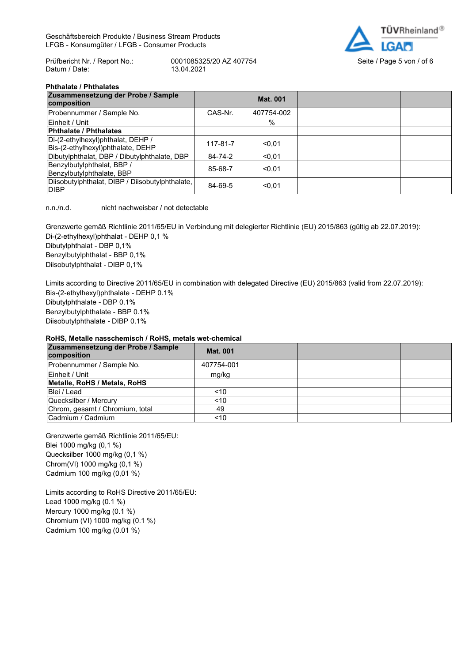Geschäftsbereich Produkte / Business Stream Products LFGB - Konsumgüter / LFGB - Consumer Products



Prüfbericht Nr. / Report No.: 0001085325/20 AZ 407754 Seite / Page 5 von / of 6<br>Datum / Date: 13.04.2021 Datum / Date:

#### **Phthalate / Phthalates**

| Zusammensetzung der Probe / Sample<br>composition                      |          | <b>Mat. 001</b> |  |  |
|------------------------------------------------------------------------|----------|-----------------|--|--|
| Probennummer / Sample No.                                              | CAS-Nr.  | 407754-002      |  |  |
| Einheit / Unit                                                         |          | $\%$            |  |  |
| <b>Phthalate / Phthalates</b>                                          |          |                 |  |  |
| Di-(2-ethylhexyl)phthalat, DEHP /<br>Bis-(2-ethylhexyl)phthalate, DEHP | 117-81-7 | < 0.01          |  |  |
| Dibutylphthalat, DBP / Dibutylphthalate, DBP                           | 84-74-2  | < 0.01          |  |  |
| Benzylbutylphthalat, BBP /<br>Benzylbutylphthalate, BBP                | 85-68-7  | < 0.01          |  |  |
| Diisobutylphthalat, DIBP / Diisobutylphthalate,<br><b>DIBP</b>         | 84-69-5  | < 0.01          |  |  |

n.n./n.d. nicht nachweisbar / not detectable

Grenzwerte gemäß Richtlinie 2011/65/EU in Verbindung mit delegierter Richtlinie (EU) 2015/863 (gültig ab 22.07.2019): Di-(2-ethylhexyl)phthalat - DEHP 0,1 % Dibutylphthalat - DBP 0,1% Benzylbutylphthalat - BBP 0,1% Diisobutylphthalat - DIBP 0,1%

Limits according to Directive 2011/65/EU in combination with delegated Directive (EU) 2015/863 (valid from 22.07.2019): Bis-(2-ethylhexyl)phthalate - DEHP 0.1% Dibutylphthalate - DBP 0.1% Benzylbutylphthalate - BBP 0.1% Diisobutylphthalate - DIBP 0.1%

#### **RoHS, Metalle nasschemisch / RoHS, metals wet-chemical**

| Zusammensetzung der Probe / Sample<br>composition | <b>Mat. 001</b> |  |  |
|---------------------------------------------------|-----------------|--|--|
| Probennummer / Sample No.                         | 407754-001      |  |  |
| Einheit / Unit                                    | mg/kg           |  |  |
| Metalle, RoHS / Metals, RoHS                      |                 |  |  |
| Blei / Lead                                       | ~10             |  |  |
| Quecksilber / Mercury                             | ~10             |  |  |
| Chrom, gesamt / Chromium, total                   | 49              |  |  |
| Cadmium / Cadmium                                 | ~10             |  |  |

Grenzwerte gemäß Richtlinie 2011/65/EU: Blei 1000 mg/kg (0,1 %) Quecksilber 1000 mg/kg (0,1 %) Chrom(VI) 1000 mg/kg (0,1 %) Cadmium 100 mg/kg (0,01 %)

Limits according to RoHS Directive 2011/65/EU: Lead 1000 mg/kg (0.1 %) Mercury 1000 mg/kg (0.1 %) Chromium (VI) 1000 mg/kg (0.1 %) Cadmium 100 mg/kg (0.01 %)